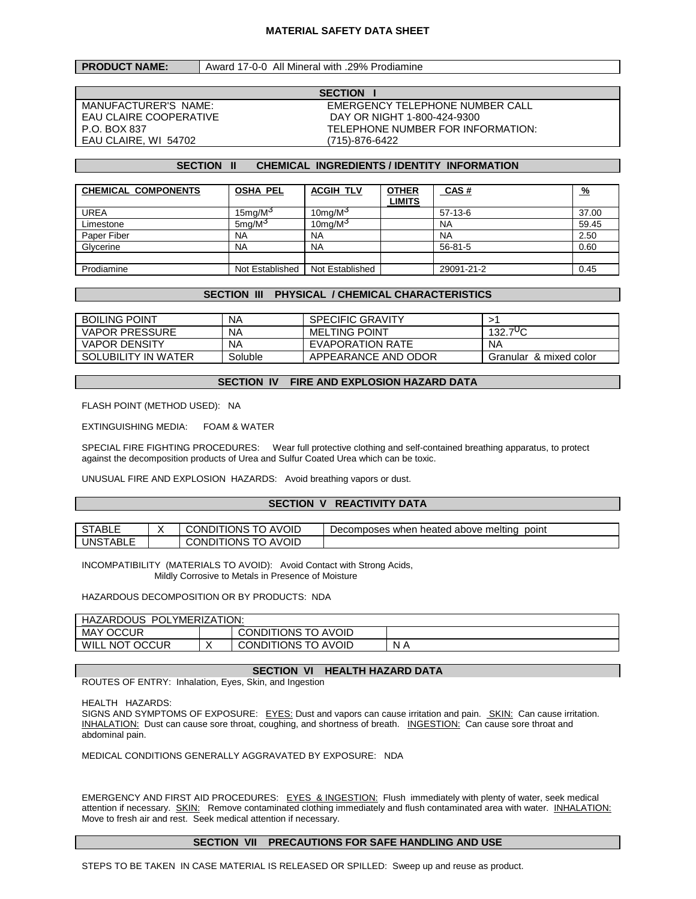### **MATERIAL SAFETY DATA SHEET**

## **PRODUCT NAME:** Award 17-0-0 All Mineral with .29% Prodiamine

EAU CLAIRE, WI 54702 (715)-876-6422

**SECTION I** MANUFACTURER'S NAME: EMERGENCY TELEPHONE NUMBER CALL EAU CLAIRE COOPERATIVE FAULT AND AN OR NIGHT 1-800-424-9300<br>P.O. BOX 837 TELEPHONE NUMBER FOR INFORMATION:

### **SECTION II CHEMICAL INGREDIENTS / IDENTITY INFORMATION**

| <b>CHEMICAL COMPONENTS</b> | <b>OSHA PEL</b>       | <b>ACGIH TLV</b>    | <b>OTHER</b><br><b>LIMITS</b> | <b>CAS#</b>   | <u>%</u> |
|----------------------------|-----------------------|---------------------|-------------------------------|---------------|----------|
| <b>UREA</b>                | 15 $mq/M3$            | 10mg/M <sup>3</sup> |                               | $57-13-6$     | 37.00    |
| Limestone                  | $5$ ma/M <sup>3</sup> | 10mg/M <sup>3</sup> |                               | <b>NA</b>     | 59.45    |
| Paper Fiber                | <b>NA</b>             | <b>NA</b>           |                               | <b>NA</b>     | 2.50     |
| Glycerine                  | <b>NA</b>             | <b>NA</b>           |                               | $56 - 81 - 5$ | 0.60     |
|                            |                       |                     |                               |               |          |
| Prodiamine                 | Not Established       | Not Established     |                               | 29091-21-2    | 0.45     |

## **SECTION III PHYSICAL / CHEMICAL CHARACTERISTICS**

| <b>BOILING POINT</b>  | ΝA      | <b>SPECIFIC GRAVITY</b> |                        |
|-----------------------|---------|-------------------------|------------------------|
| <b>VAPOR PRESSURE</b> | NA      | <b>MELTING POINT</b>    | 132.7 <sup>U</sup> C   |
| <b>VAPOR DENSITY</b>  | NA      | EVAPORATION RATE        | NA                     |
| SOLUBILITY IN WATER   | Soluble | APPEARANCE AND ODOR     | Granular & mixed color |

### **SECTION IV FIRE AND EXPLOSION HAZARD DATA**

FLASH POINT (METHOD USED): NA

EXTINGUISHING MEDIA: FOAM & WATER

SPECIAL FIRE FIGHTING PROCEDURES: Wear full protective clothing and self-contained breathing apparatus, to protect against the decomposition products of Urea and Sulfur Coated Urea which can be toxic.

UNUSUAL FIRE AND EXPLOSION HAZARDS: Avoid breathing vapors or dust.

### **SECTION V REACTIVITY DATA**

| ABLL                       | AVOID<br><b>ONDI</b><br>'HIONS<br>' O | Decomposes when heated above melting<br>point |
|----------------------------|---------------------------------------|-----------------------------------------------|
| UNS <sup>.</sup><br>`™ABL∟ | AVOID<br><b>ITIONS</b><br>CONDI       |                                               |

INCOMPATIBILITY (MATERIALS TO AVOID): Avoid Contact with Strong Acids, Mildly Corrosive to Metals in Presence of Moisture

#### HAZARDOUS DECOMPOSITION OR BY PRODUCTS: NDA

| <b>HAZARDOUS</b><br>POLYMERIZATION: |           |                     |     |  |
|-------------------------------------|-----------|---------------------|-----|--|
| <b>MAY OCCUR</b>                    |           | CONDITIONS TO AVOID |     |  |
| WILL.<br>. NOT OCCUR                | $\lambda$ | CONDITIONS TO AVOID | N A |  |

## **SECTION VI HEALTH HAZARD DATA**

ROUTES OF ENTRY: Inhalation, Eyes, Skin, and Ingestion

HEALTH HAZARDS:

SIGNS AND SYMPTOMS OF EXPOSURE: EYES: Dust and vapors can cause irritation and pain. SKIN: Can cause irritation. INHALATION: Dust can cause sore throat, coughing, and shortness of breath. INGESTION: Can cause sore throat and abdominal pain.

MEDICAL CONDITIONS GENERALLY AGGRAVATED BY EXPOSURE: NDA

EMERGENCY AND FIRST AID PROCEDURES: EYES & INGESTION: Flush immediately with plenty of water, seek medical attention if necessary. **SKIN:** Remove contaminated clothing immediately and flush contaminated area with water. INHALATION: Move to fresh air and rest. Seek medical attention if necessary.

# **SECTION VII PRECAUTIONS FOR SAFE HANDLING AND USE**